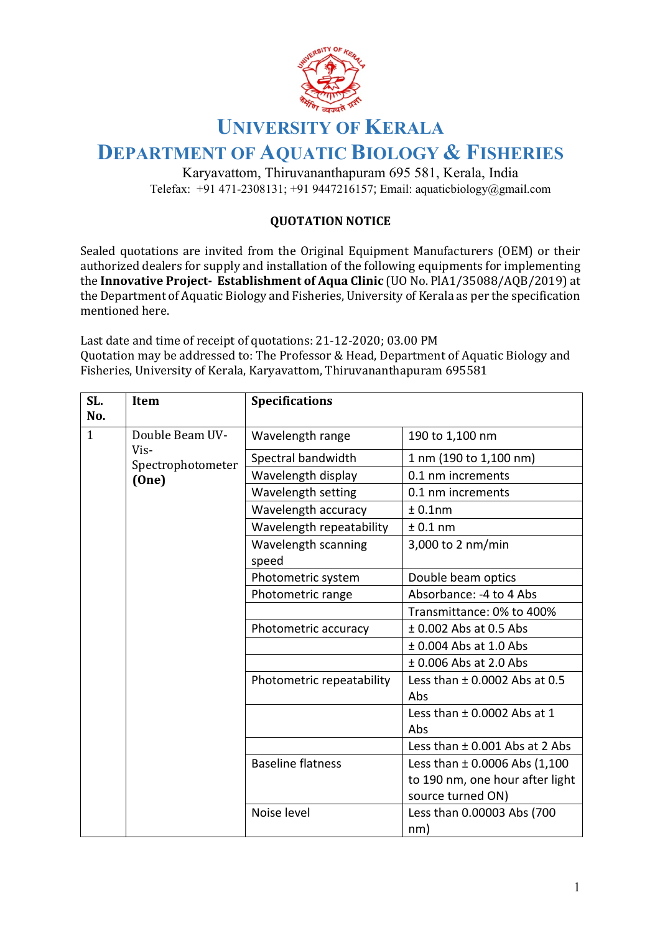

## **UNIVERSITY OF KERALA**

## **DEPARTMENT OF AQUATIC BIOLOGY & FISHERIES**

Karyavattom, Thiruvananthapuram 695 581, Kerala, India Telefax: +91 471-2308131; +91 9447216157; Email: aquaticbiology@gmail.com

## **QUOTATION NOTICE**

Sealed quotations are invited from the Original Equipment Manufacturers (OEM) or their authorized dealers for supply and installation of the following equipments for implementing the **Innovative Project- Establishment of Aqua Clinic** (UO No. PlA1/35088/AQB/2019) at the Department of Aquatic Biology and Fisheries, University of Kerala as per the specification mentioned here.

Last date and time of receipt of quotations: 21-12-2020; 03.00 PM Quotation may be addressed to: The Professor & Head, Department of Aquatic Biology and Fisheries, University of Kerala, Karyavattom, Thiruvananthapuram 695581

| SL.<br>No. | Item                      | <b>Specifications</b>     |                                    |
|------------|---------------------------|---------------------------|------------------------------------|
| 1          | Double Beam UV-           | Wavelength range          | 190 to 1,100 nm                    |
|            | Vis-<br>Spectrophotometer | Spectral bandwidth        | 1 nm (190 to 1,100 nm)             |
|            | (One)                     | Wavelength display        | 0.1 nm increments                  |
|            |                           | Wavelength setting        | 0.1 nm increments                  |
|            |                           | Wavelength accuracy       | $± 0.1$ nm                         |
|            |                           | Wavelength repeatability  | ± 0.1 nm                           |
|            |                           | Wavelength scanning       | 3,000 to 2 nm/min                  |
|            |                           | speed                     |                                    |
|            |                           | Photometric system        | Double beam optics                 |
|            |                           | Photometric range         | Absorbance: -4 to 4 Abs            |
|            |                           |                           | Transmittance: 0% to 400%          |
|            |                           | Photometric accuracy      | $\pm$ 0.002 Abs at 0.5 Abs         |
|            |                           |                           | $±$ 0.004 Abs at 1.0 Abs           |
|            |                           |                           | $±$ 0.006 Abs at 2.0 Abs           |
|            |                           | Photometric repeatability | Less than $\pm$ 0.0002 Abs at 0.5  |
|            |                           |                           | Abs                                |
|            |                           |                           | Less than $\pm$ 0.0002 Abs at 1    |
|            |                           |                           | Abs                                |
|            |                           |                           | Less than $\pm$ 0.001 Abs at 2 Abs |
|            |                           | <b>Baseline flatness</b>  | Less than $\pm$ 0.0006 Abs (1,100  |
|            |                           |                           | to 190 nm, one hour after light    |
|            |                           |                           | source turned ON)                  |
|            |                           | Noise level               | Less than 0.00003 Abs (700         |
|            |                           |                           | nm)                                |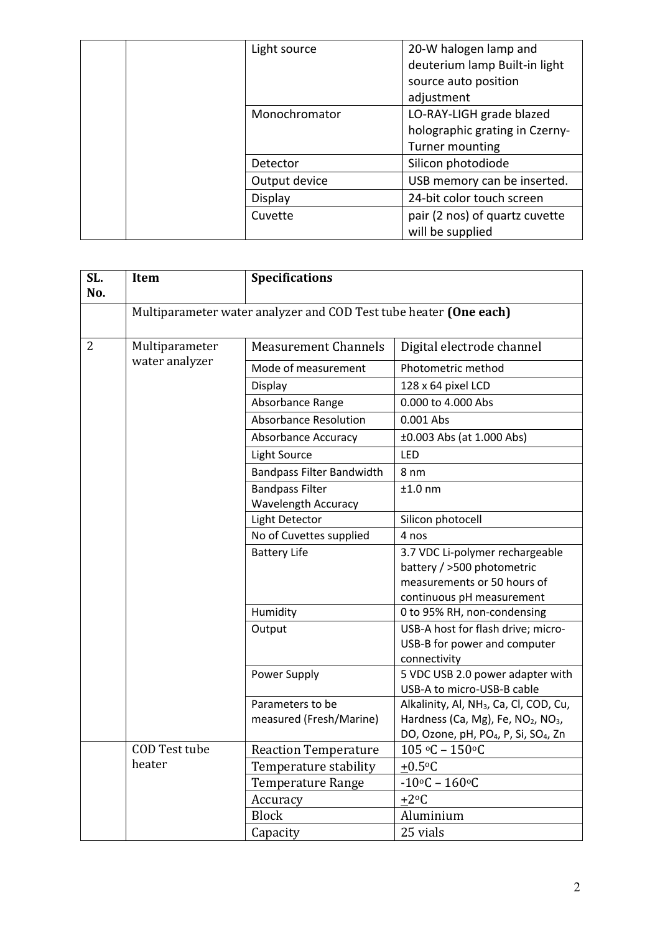|  | Light source  | 20-W halogen lamp and<br>deuterium lamp Built-in light                        |
|--|---------------|-------------------------------------------------------------------------------|
|  |               | source auto position<br>adjustment                                            |
|  | Monochromator | LO-RAY-LIGH grade blazed<br>holographic grating in Czerny-<br>Turner mounting |
|  | Detector      | Silicon photodiode                                                            |
|  | Output device | USB memory can be inserted.                                                   |
|  | Display       | 24-bit color touch screen                                                     |
|  | Cuvette       | pair (2 nos) of quartz cuvette<br>will be supplied                            |

| SL.<br>No.     | Item                 | <b>Specifications</b>                                             |                                                                |
|----------------|----------------------|-------------------------------------------------------------------|----------------------------------------------------------------|
|                |                      | Multiparameter water analyzer and COD Test tube heater (One each) |                                                                |
| $\overline{2}$ | Multiparameter       | <b>Measurement Channels</b>                                       | Digital electrode channel                                      |
|                | water analyzer       | Mode of measurement                                               | Photometric method                                             |
|                |                      | Display                                                           | 128 x 64 pixel LCD                                             |
|                |                      | Absorbance Range                                                  | 0.000 to 4.000 Abs                                             |
|                |                      | <b>Absorbance Resolution</b>                                      | 0.001 Abs                                                      |
|                |                      | Absorbance Accuracy                                               | ±0.003 Abs (at 1.000 Abs)                                      |
|                |                      | Light Source                                                      | LED                                                            |
|                |                      | <b>Bandpass Filter Bandwidth</b>                                  | 8 nm                                                           |
|                |                      | <b>Bandpass Filter</b>                                            | $±1.0$ nm                                                      |
|                |                      | Wavelength Accuracy                                               |                                                                |
|                |                      | Light Detector                                                    | Silicon photocell                                              |
|                |                      | No of Cuvettes supplied                                           | 4 nos                                                          |
|                |                      | <b>Battery Life</b>                                               | 3.7 VDC Li-polymer rechargeable                                |
|                |                      |                                                                   | battery / >500 photometric                                     |
|                |                      |                                                                   | measurements or 50 hours of                                    |
|                |                      |                                                                   | continuous pH measurement                                      |
|                |                      | Humidity                                                          | 0 to 95% RH, non-condensing                                    |
|                |                      | Output                                                            | USB-A host for flash drive; micro-                             |
|                |                      |                                                                   | USB-B for power and computer                                   |
|                |                      |                                                                   | connectivity                                                   |
|                |                      | Power Supply                                                      | 5 VDC USB 2.0 power adapter with<br>USB-A to micro-USB-B cable |
|                |                      | Parameters to be                                                  | Alkalinity, Al, NH <sub>3</sub> , Ca, Cl, COD, Cu,             |
|                |                      | measured (Fresh/Marine)                                           | Hardness (Ca, Mg), Fe, NO <sub>2</sub> , NO <sub>3</sub> ,     |
|                |                      |                                                                   | DO, Ozone, pH, PO <sub>4</sub> , P, Si, SO <sub>4</sub> , Zn   |
|                | <b>COD Test tube</b> | <b>Reaction Temperature</b>                                       | $105 °C - 150 °C$                                              |
|                | heater               | Temperature stability                                             | $+0.5$ °C                                                      |
|                |                      | <b>Temperature Range</b>                                          | $-10$ °C – 160°C                                               |
|                |                      | Accuracy                                                          | $\pm 2$ <sup>o</sup> C                                         |
|                |                      | <b>Block</b>                                                      | Aluminium                                                      |
|                |                      | Capacity                                                          | 25 vials                                                       |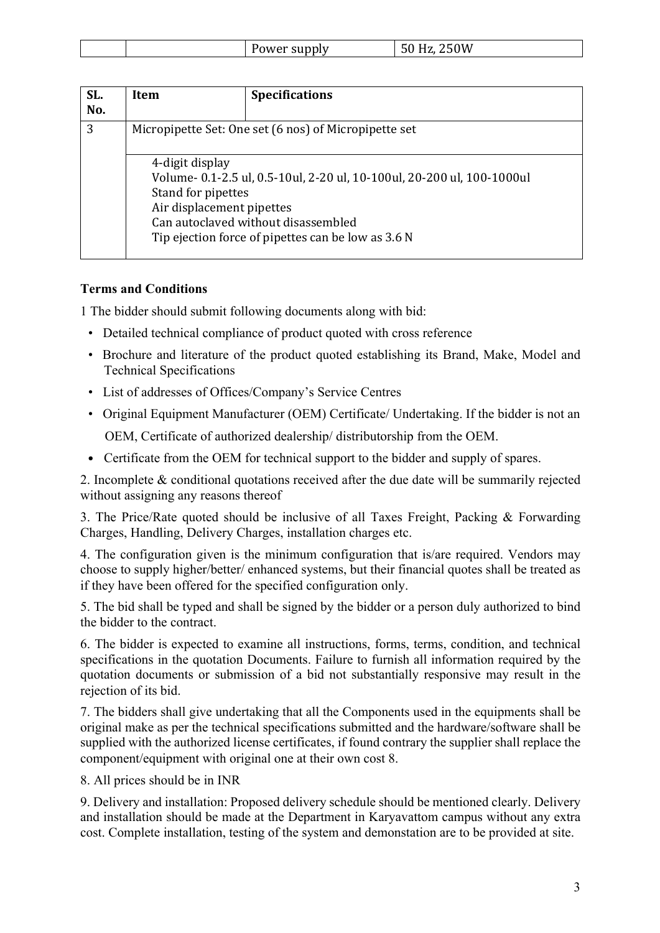|  |  |  | .<br>טוט<br>l VV | $\angle 50W$ |
|--|--|--|------------------|--------------|
|--|--|--|------------------|--------------|

| SL.<br>No. | Item                                                                                                                                                                                                                                      | <b>Specifications</b> |
|------------|-------------------------------------------------------------------------------------------------------------------------------------------------------------------------------------------------------------------------------------------|-----------------------|
| 3          | Micropipette Set: One set (6 nos) of Micropipette set                                                                                                                                                                                     |                       |
|            | 4-digit display<br>Volume- 0.1-2.5 ul, 0.5-10ul, 2-20 ul, 10-100ul, 20-200 ul, 100-1000ul<br>Stand for pipettes<br>Air displacement pipettes<br>Can autoclaved without disassembled<br>Tip ejection force of pipettes can be low as 3.6 N |                       |

## **Terms and Conditions**

1 The bidder should submit following documents along with bid:

- Detailed technical compliance of product quoted with cross reference
- Brochure and literature of the product quoted establishing its Brand, Make, Model and Technical Specifications
- List of addresses of Offices/Company's Service Centres
- Original Equipment Manufacturer (OEM) Certificate/ Undertaking. If the bidder is not an OEM, Certificate of authorized dealership/ distributorship from the OEM.
- Certificate from the OEM for technical support to the bidder and supply of spares.

2. Incomplete & conditional quotations received after the due date will be summarily rejected without assigning any reasons thereof

3. The Price/Rate quoted should be inclusive of all Taxes Freight, Packing & Forwarding Charges, Handling, Delivery Charges, installation charges etc.

4. The configuration given is the minimum configuration that is/are required. Vendors may choose to supply higher/better/ enhanced systems, but their financial quotes shall be treated as if they have been offered for the specified configuration only.

5. The bid shall be typed and shall be signed by the bidder or a person duly authorized to bind the bidder to the contract.

6. The bidder is expected to examine all instructions, forms, terms, condition, and technical specifications in the quotation Documents. Failure to furnish all information required by the quotation documents or submission of a bid not substantially responsive may result in the rejection of its bid.

7. The bidders shall give undertaking that all the Components used in the equipments shall be original make as per the technical specifications submitted and the hardware/software shall be supplied with the authorized license certificates, if found contrary the supplier shall replace the component/equipment with original one at their own cost 8.

8. All prices should be in INR

9. Delivery and installation: Proposed delivery schedule should be mentioned clearly. Delivery and installation should be made at the Department in Karyavattom campus without any extra cost. Complete installation, testing of the system and demonstation are to be provided at site.